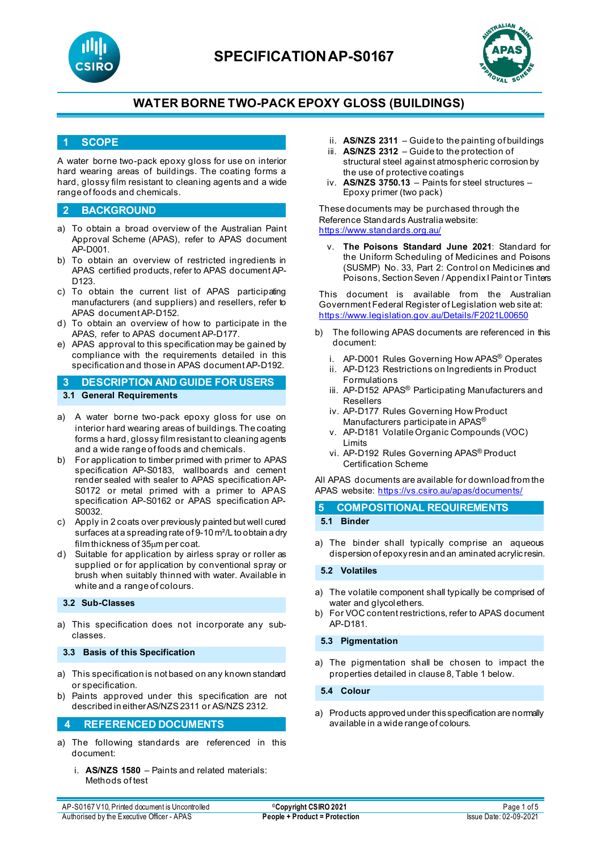



### **1 SCOPE**

A water borne two-pack epoxy gloss for use on interior hard wearing areas of buildings. The coating forms a hard, glossy film resistant to cleaning agents and a wide range of foods and chemicals.

### **2 BACKGROUND**

- a) To obtain a broad overview of the Australian Paint Approval Scheme (APAS), refer to APAS document AP-D001.
- b) To obtain an overview of restricted ingredients in APAS certified products, refer to APAS document AP-D<sub>123</sub>
- c) To obtain the current list of APAS participating manufacturers (and suppliers) and resellers, refer to APAS document AP-D152.
- d) To obtain an overview of how to participate in the APAS, refer to APAS document AP-D177.
- e) APAS approval to this specification may be gained by compliance with the requirements detailed in this specification and those in APAS document AP-D192.

### **3 DESCRIPTION AND GUIDE FOR USERS 3.1 General Requirements**

- a) A water borne two-pack epoxy gloss for use on interior hard wearing areas of buildings. The coating forms a hard, glossy film resistant to cleaning agents and a wide range of foods and chemicals.
- b) For application to timber primed with primer to APAS specification AP-S0183, wallboards and cement render sealed with sealer to APAS specification AP-S0172 or metal primed with a primer to APAS specification AP-S0162 or APAS specification AP-S0032.
- c) Apply in 2 coats over previously painted but well cured surfaces at a spreading rate of 9-10 m²/L to obtain a dry film thickness of 35µm per coat.
- d) Suitable for application by airless spray or roller as supplied or for application by conventional spray or brush when suitably thinned with water. Available in white and a range of colours.

#### **3.2 Sub-Classes**

a) This specification does not incorporate any subclasses.

#### **3.3 Basis of this Specification**

- a) This specification is not based on any known standard or specification.
- b) Paints approved under this specification are not described in either AS/NZS 2311 or AS/NZS 2312.

#### **4 REFERENCED DOCUMENTS**

- a) The following standards are referenced in this document:
	- i. **AS/NZS 1580** Paints and related materials: Methods of test
- ii. **AS/NZS 2311**  Guide to the painting of buildings
- iii. **AS/NZS 2312**  Guide to the protection of structural steel against atmospheric corrosion by the use of protective coatings
- iv. **AS/NZS 3750.13** Paints for steel structures Epoxy primer (two pack)

These documents may be purchased through the Reference Standards Australia website: <https://www.standards.org.au/>

The Poisons Standard June 2021: Standard for the Uniform Scheduling of Medicines and Poisons (SUSMP) No. 33, Part 2: Control on Medicines and Poisons, Section Seven / Appendix I Paint or Tinters

This document is available from the Australian Government Federal Register of Legislation web site at: <https://www.legislation.gov.au/Details/F2021L00650>

- b) The following APAS documents are referenced in this document:
	- i. AP-D001 Rules Governing How APAS<sup>®</sup> Operates
	- ii. AP-D123 Restrictions on Ingredients in Product Formulations
	- iii. AP-D152 APAS<sup>®</sup> Participating Manufacturers and Resellers
	- iv. AP-D177 Rules Governing How Product Manufacturers participate in APAS®
	- v. AP-D181 Volatile Organic Compounds (VOC) Limits
	- vi. AP-D192 Rules Governing APAS® Product Certification Scheme

All APAS documents are available for download from the APAS website: <https://vs.csiro.au/apas/documents/>

|  | 5 COMPOSITIONAL REQUIREMENTS |
|--|------------------------------|
|  |                              |

**5.1 Binder**

a) The binder shall typically comprise an aqueous dispersion of epoxy resin and an aminated acrylic resin.

### **5.2 Volatiles**

- a) The volatile component shall typically be comprised of water and glycol ethers.
- b) For VOC content restrictions, refer to APAS document AP-D181.

#### **5.3 Pigmentation**

a) The pigmentation shall be chosen to impact the properties detailed in clause 8, Table 1 below.

**5.4 Colour**

a) Products approved under this specification are normally available in a wide range of colours.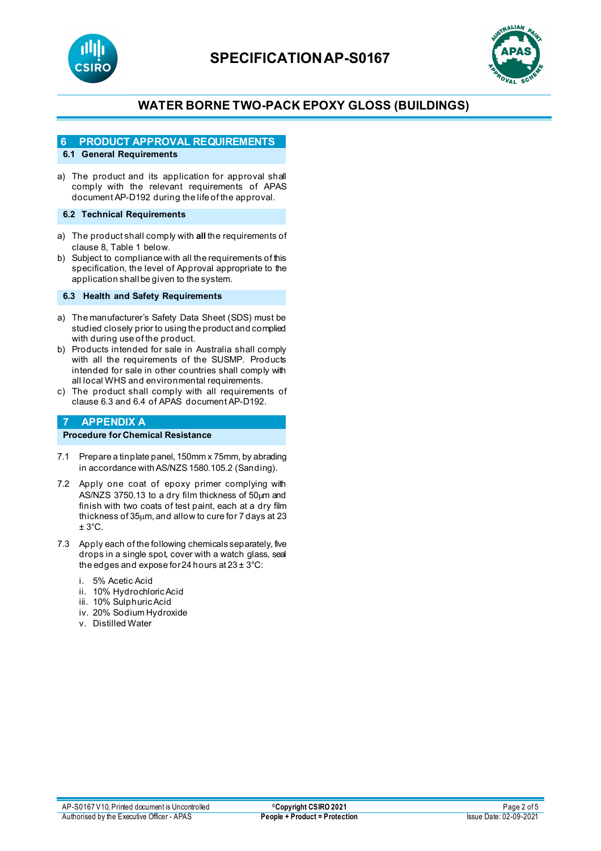



## **6 PRODUCT APPROVAL REQUIREMENTS**

## **6.1 General Requirements**

a) The product and its application for approval shall comply with the relevant requirements of APAS document AP-D192 during the life of the approval.

#### **6.2 Technical Requirements**

- a) The product shall comply with **all** the requirements of clause 8, Table 1 below.
- b) Subject to compliance with all the requirements of this specification, the level of Approval appropriate to the application shall be given to the system.

#### **6.3 Health and Safety Requirements**

- a) The manufacturer's Safety Data Sheet (SDS) must be studied closely prior to using the product and complied with during use of the product.
- b) Products intended for sale in Australia shall comply with all the requirements of the SUSMP. Products intended for sale in other countries shall comply with all local WHS and environmental requirements.
- c) The product shall comply with all requirements of clause 6.3 and 6.4 of APAS document AP-D192.

## **7 APPENDIX A**

## **Procedure for Chemical Resistance**

- 7.1 Prepare a tinplate panel, 150mm x 75mm, by abrading in accordance with AS/NZS 1580.105.2 (Sanding).
- 7.2 Apply one coat of epoxy primer complying with AS/NZS 3750.13 to a dry film thickness of 50µm and finish with two coats of test paint, each at a dry film thickness of 35µm, and allow to cure for 7 days at 23  $± 3°C.$
- 7.3 Apply each of the following chemicals separately, five drops in a single spot, cover with a watch glass, seal the edges and expose for 24 hours at  $23 \pm 3^{\circ}$ C:
	- i. 5% Acetic Acid
	- ii. 10% Hydrochloric Acid
	- iii. 10% Sulphuric Acid
	- iv. 20% Sodium Hydroxide
	- v. Distilled Water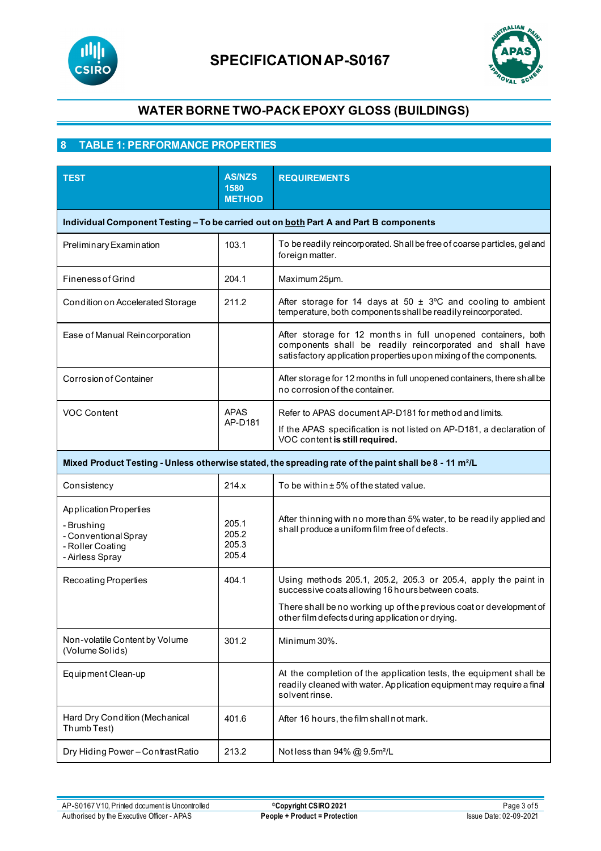



## **8 TABLE 1: PERFORMANCE PROPERTIES**

| <b>TEST</b>                                                                                                        | <b>AS/NZS</b><br>1580<br><b>METHOD</b>                                                | <b>REQUIREMENTS</b>                                                                                                                                                                              |  |  |  |
|--------------------------------------------------------------------------------------------------------------------|---------------------------------------------------------------------------------------|--------------------------------------------------------------------------------------------------------------------------------------------------------------------------------------------------|--|--|--|
|                                                                                                                    | Individual Component Testing - To be carried out on both Part A and Part B components |                                                                                                                                                                                                  |  |  |  |
| Preliminary Examination                                                                                            | 103.1                                                                                 | To be readily reincorporated. Shall be free of coarse particles, gel and<br>foreign matter.                                                                                                      |  |  |  |
| <b>Fineness of Grind</b>                                                                                           | 204.1                                                                                 | Maximum 25µm.                                                                                                                                                                                    |  |  |  |
| Condition on Accelerated Storage                                                                                   | 211.2                                                                                 | After storage for 14 days at 50 $\pm$ 3°C and cooling to ambient<br>temperature, both components shall be readily reincorporated.                                                                |  |  |  |
| Ease of Manual Reincorporation                                                                                     |                                                                                       | After storage for 12 months in full unopened containers, both<br>components shall be readily reincorporated and shall have<br>satisfactory application properties upon mixing of the components. |  |  |  |
| Corrosion of Container                                                                                             |                                                                                       | After storage for 12 months in full unopened containers, there shall be<br>no corrosion of the container.                                                                                        |  |  |  |
| VOC Content                                                                                                        | APAS<br>AP-D181                                                                       | Refer to APAS document AP-D181 for method and limits.<br>If the APAS specification is not listed on AP-D181, a declaration of<br>VOC content is still required.                                  |  |  |  |
| Mixed Product Testing - Unless otherwise stated, the spreading rate of the paint shall be 8 - 11 m <sup>2</sup> /L |                                                                                       |                                                                                                                                                                                                  |  |  |  |
| Consistency                                                                                                        | 214.x                                                                                 | To be within ±5% of the stated value.                                                                                                                                                            |  |  |  |
| <b>Application Properties</b><br>- Brushing<br>- Conventional Spray<br>- Roller Coating<br>- Airless Spray         | 205.1<br>205.2<br>205.3<br>205.4                                                      | After thinning with no more than 5% water, to be readily applied and<br>shall produce a uniform film free of defects.                                                                            |  |  |  |
| <b>Recoating Properties</b>                                                                                        | 404.1                                                                                 | Using methods 205.1, 205.2, 205.3 or 205.4, apply the paint in<br>successive coats allowing 16 hours between coats.                                                                              |  |  |  |
|                                                                                                                    |                                                                                       | There shall be no working up of the previous coat or development of<br>other film defects during application or drying.                                                                          |  |  |  |
| Non-volatile Content by Volume<br>(Volume Solids)                                                                  | 301.2                                                                                 | Minimum 30%.                                                                                                                                                                                     |  |  |  |
| Equipment Clean-up                                                                                                 |                                                                                       | At the completion of the application tests, the equipment shall be<br>readily cleaned with water. Application equipment may require a final<br>solvent rinse.                                    |  |  |  |
| Hard Dry Condition (Mechanical<br>Thumb Test)                                                                      | 401.6                                                                                 | After 16 hours, the film shall not mark.                                                                                                                                                         |  |  |  |
| Dry Hiding Power-Contrast Ratio                                                                                    | 213.2                                                                                 | Notless than 94% @ 9.5m <sup>2</sup> /L                                                                                                                                                          |  |  |  |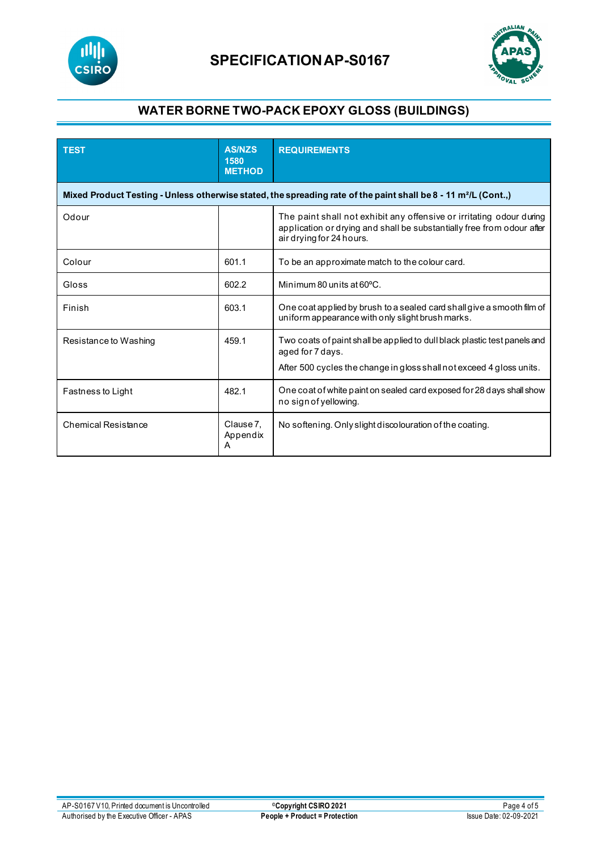



| <b>TEST</b>                                                                                                                 | <b>AS/NZS</b><br>1580<br><b>METHOD</b> | <b>REQUIREMENTS</b>                                                                                                                                                        |  |  |
|-----------------------------------------------------------------------------------------------------------------------------|----------------------------------------|----------------------------------------------------------------------------------------------------------------------------------------------------------------------------|--|--|
| Mixed Product Testing - Unless otherwise stated, the spreading rate of the paint shall be 8 - 11 m <sup>2</sup> /L (Cont.,) |                                        |                                                                                                                                                                            |  |  |
| Odour                                                                                                                       |                                        | The paint shall not exhibit any offensive or irritating odour during<br>application or drying and shall be substantially free from odour after<br>air drying for 24 hours. |  |  |
| Colour                                                                                                                      | 601.1                                  | To be an approximate match to the colour card.                                                                                                                             |  |  |
| Gloss                                                                                                                       | 602.2                                  | Minimum 80 units at 60°C.                                                                                                                                                  |  |  |
| Finish                                                                                                                      | 603.1                                  | One coat applied by brush to a sealed card shall give a smooth film of<br>uniform appearance with only slight brush marks.                                                 |  |  |
| Resistance to Washing                                                                                                       | 459.1                                  | Two coats of paint shall be applied to dull black plastic test panels and<br>aged for 7 days.<br>After 500 cycles the change in gloss shall not exceed 4 gloss units.      |  |  |
| Fastness to Light                                                                                                           | 482.1                                  | One coat of white paint on sealed card exposed for 28 days shall show<br>no sign of yellowing.                                                                             |  |  |
| Chemical Resistance                                                                                                         | Clause 7.<br>Appendix<br>Α             | No softening. Only slight discolouration of the coating.                                                                                                                   |  |  |